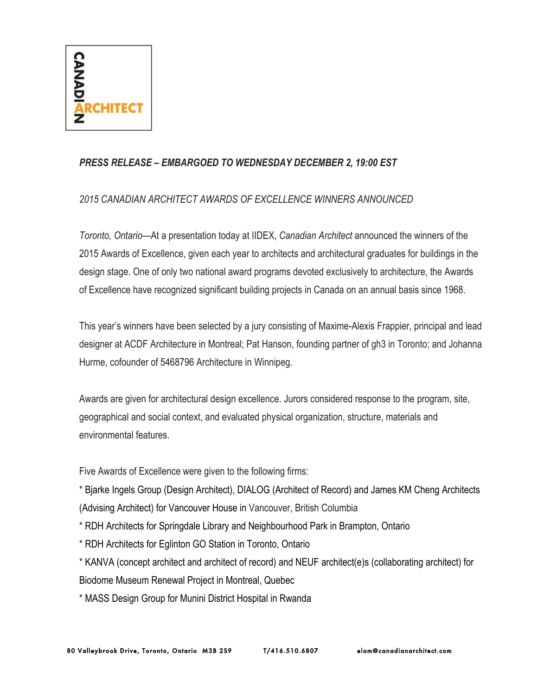

## *PRESS RELEASE – EMBARGOED TO WEDNESDAY DECEMBER 2, 19:00 EST*

## *2015 CANADIAN ARCHITECT AWARDS OF EXCELLENCE WINNERS ANNOUNCED*

*Toronto, Ontario—*At a presentation today at IIDEX, *Canadian Architect* announced the winners of the 2015 Awards of Excellence, given each year to architects and architectural graduates for buildings in the design stage. One of only two national award programs devoted exclusively to architecture, the Awards of Excellence have recognized significant building projects in Canada on an annual basis since 1968.

This year's winners have been selected by a jury consisting of Maxime-Alexis Frappier, principal and lead designer at ACDF Architecture in Montreal; Pat Hanson, founding partner of gh3 in Toronto; and Johanna Hurme, cofounder of 5468796 Architecture in Winnipeg.

Awards are given for architectural design excellence. Jurors considered response to the program, site, geographical and social context, and evaluated physical organization, structure, materials and environmental features.

Five Awards of Excellence were given to the following firms:

\* Bjarke Ingels Group (Design Architect), DIALOG (Architect of Record) and James KM Cheng Architects (Advising Architect) for Vancouver House in Vancouver, British Columbia

\* RDH Architects for Springdale Library and Neighbourhood Park in Brampton, Ontario

- \* RDH Architects for Eglinton GO Station in Toronto, Ontario
- \* KANVA (concept architect and architect of record) and NEUF architect(e)s (collaborating architect) for Biodome Museum Renewal Project in Montreal, Quebec

\* MASS Design Group for Munini District Hospital in Rwanda